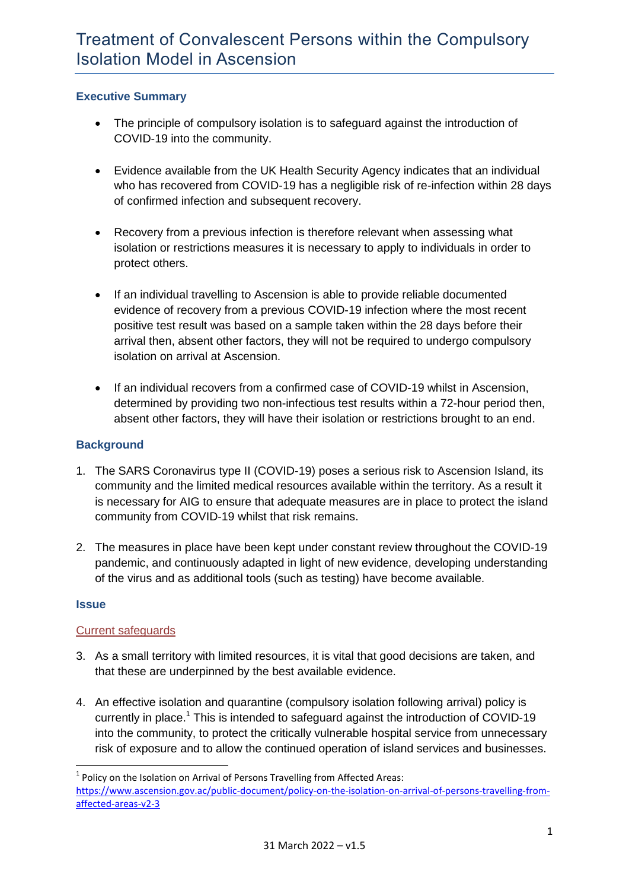# **Executive Summary**

- The principle of compulsory isolation is to safeguard against the introduction of COVID-19 into the community.
- Evidence available from the UK Health Security Agency indicates that an individual who has recovered from COVID-19 has a negligible risk of re-infection within 28 days of confirmed infection and subsequent recovery.
- Recovery from a previous infection is therefore relevant when assessing what isolation or restrictions measures it is necessary to apply to individuals in order to protect others.
- If an individual travelling to Ascension is able to provide reliable documented evidence of recovery from a previous COVID-19 infection where the most recent positive test result was based on a sample taken within the 28 days before their arrival then, absent other factors, they will not be required to undergo compulsory isolation on arrival at Ascension.
- If an individual recovers from a confirmed case of COVID-19 whilst in Ascension, determined by providing two non-infectious test results within a 72-hour period then, absent other factors, they will have their isolation or restrictions brought to an end.

# **Background**

- 1. The SARS Coronavirus type II (COVID-19) poses a serious risk to Ascension Island, its community and the limited medical resources available within the territory. As a result it is necessary for AIG to ensure that adequate measures are in place to protect the island community from COVID-19 whilst that risk remains.
- 2. The measures in place have been kept under constant review throughout the COVID-19 pandemic, and continuously adapted in light of new evidence, developing understanding of the virus and as additional tools (such as testing) have become available.

## **Issue**

**.** 

## Current safeguards

- 3. As a small territory with limited resources, it is vital that good decisions are taken, and that these are underpinned by the best available evidence.
- 4. An effective isolation and quarantine (compulsory isolation following arrival) policy is currently in place.<sup>1</sup> This is intended to safeguard against the introduction of COVID-19 into the community, to protect the critically vulnerable hospital service from unnecessary risk of exposure and to allow the continued operation of island services and businesses.

 $1$  Policy on the Isolation on Arrival of Persons Travelling from Affected Areas: [https://www.ascension.gov.ac/public-document/policy-on-the-isolation-on-arrival-of-persons-travelling-from](https://www.ascension.gov.ac/public-document/policy-on-the-isolation-on-arrival-of-persons-travelling-from-affected-areas-v2-3)[affected-areas-v2-3](https://www.ascension.gov.ac/public-document/policy-on-the-isolation-on-arrival-of-persons-travelling-from-affected-areas-v2-3)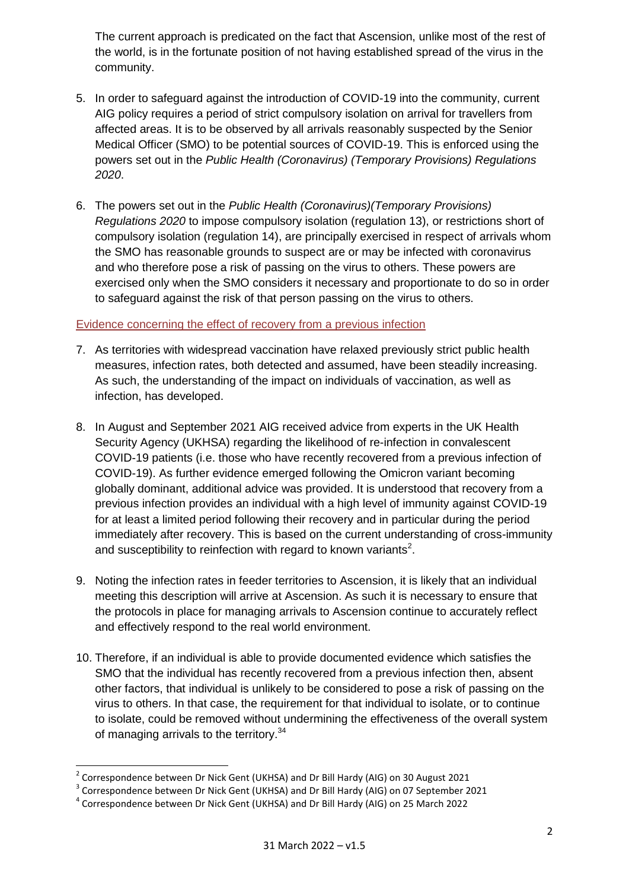The current approach is predicated on the fact that Ascension, unlike most of the rest of the world, is in the fortunate position of not having established spread of the virus in the community.

- 5. In order to safeguard against the introduction of COVID-19 into the community, current AIG policy requires a period of strict compulsory isolation on arrival for travellers from affected areas. It is to be observed by all arrivals reasonably suspected by the Senior Medical Officer (SMO) to be potential sources of COVID-19. This is enforced using the powers set out in the *Public Health (Coronavirus) (Temporary Provisions) Regulations 2020*.
- 6. The powers set out in the *Public Health (Coronavirus)(Temporary Provisions) Regulations 2020* to impose compulsory isolation (regulation 13), or restrictions short of compulsory isolation (regulation 14), are principally exercised in respect of arrivals whom the SMO has reasonable grounds to suspect are or may be infected with coronavirus and who therefore pose a risk of passing on the virus to others. These powers are exercised only when the SMO considers it necessary and proportionate to do so in order to safeguard against the risk of that person passing on the virus to others.

## Evidence concerning the effect of recovery from a previous infection

- 7. As territories with widespread vaccination have relaxed previously strict public health measures, infection rates, both detected and assumed, have been steadily increasing. As such, the understanding of the impact on individuals of vaccination, as well as infection, has developed.
- 8. In August and September 2021 AIG received advice from experts in the UK Health Security Agency (UKHSA) regarding the likelihood of re-infection in convalescent COVID-19 patients (i.e. those who have recently recovered from a previous infection of COVID-19). As further evidence emerged following the Omicron variant becoming globally dominant, additional advice was provided. It is understood that recovery from a previous infection provides an individual with a high level of immunity against COVID-19 for at least a limited period following their recovery and in particular during the period immediately after recovery. This is based on the current understanding of cross-immunity and susceptibility to reinfection with regard to known variants<sup>2</sup>.
- 9. Noting the infection rates in feeder territories to Ascension, it is likely that an individual meeting this description will arrive at Ascension. As such it is necessary to ensure that the protocols in place for managing arrivals to Ascension continue to accurately reflect and effectively respond to the real world environment.
- 10. Therefore, if an individual is able to provide documented evidence which satisfies the SMO that the individual has recently recovered from a previous infection then, absent other factors, that individual is unlikely to be considered to pose a risk of passing on the virus to others. In that case, the requirement for that individual to isolate, or to continue to isolate, could be removed without undermining the effectiveness of the overall system of managing arrivals to the territory.<sup>34</sup>

 2 Correspondence between Dr Nick Gent (UKHSA) and Dr Bill Hardy (AIG) on 30 August 2021

<sup>&</sup>lt;sup>3</sup> Correspondence between Dr Nick Gent (UKHSA) and Dr Bill Hardy (AIG) on 07 September 2021

<sup>&</sup>lt;sup>4</sup> Correspondence between Dr Nick Gent (UKHSA) and Dr Bill Hardy (AIG) on 25 March 2022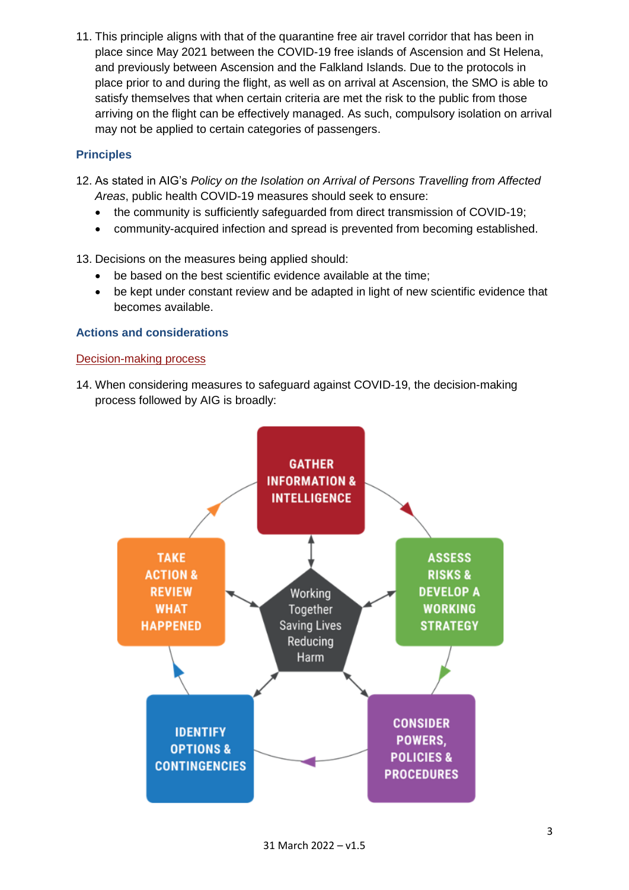11. This principle aligns with that of the quarantine free air travel corridor that has been in place since May 2021 between the COVID-19 free islands of Ascension and St Helena, and previously between Ascension and the Falkland Islands. Due to the protocols in place prior to and during the flight, as well as on arrival at Ascension, the SMO is able to satisfy themselves that when certain criteria are met the risk to the public from those arriving on the flight can be effectively managed. As such, compulsory isolation on arrival may not be applied to certain categories of passengers.

# **Principles**

- 12. As stated in AIG's *Policy on the Isolation on Arrival of Persons Travelling from Affected Areas*, public health COVID-19 measures should seek to ensure:
	- the community is sufficiently safeguarded from direct transmission of COVID-19;
	- community-acquired infection and spread is prevented from becoming established.
- 13. Decisions on the measures being applied should:
	- be based on the best scientific evidence available at the time;
	- be kept under constant review and be adapted in light of new scientific evidence that becomes available.

# **Actions and considerations**

#### Decision-making process

14. When considering measures to safeguard against COVID-19, the decision-making process followed by AIG is broadly:

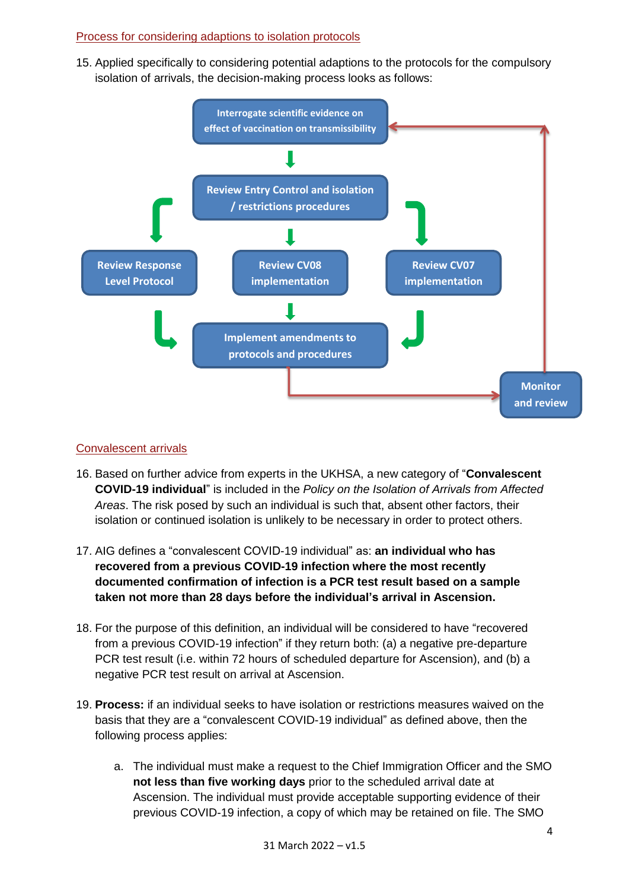# Process for considering adaptions to isolation protocols

15. Applied specifically to considering potential adaptions to the protocols for the compulsory isolation of arrivals, the decision-making process looks as follows:



## Convalescent arrivals

- 16. Based on further advice from experts in the UKHSA, a new category of "**Convalescent COVID-19 individual**" is included in the *Policy on the Isolation of Arrivals from Affected Areas*. The risk posed by such an individual is such that, absent other factors, their isolation or continued isolation is unlikely to be necessary in order to protect others.
- 17. AIG defines a "convalescent COVID-19 individual" as: **an individual who has recovered from a previous COVID-19 infection where the most recently documented confirmation of infection is a PCR test result based on a sample taken not more than 28 days before the individual's arrival in Ascension.**
- 18. For the purpose of this definition, an individual will be considered to have "recovered from a previous COVID-19 infection" if they return both: (a) a negative pre-departure PCR test result (i.e. within 72 hours of scheduled departure for Ascension), and (b) a negative PCR test result on arrival at Ascension.
- 19. **Process:** if an individual seeks to have isolation or restrictions measures waived on the basis that they are a "convalescent COVID-19 individual" as defined above, then the following process applies:
	- a. The individual must make a request to the Chief Immigration Officer and the SMO **not less than five working days** prior to the scheduled arrival date at Ascension. The individual must provide acceptable supporting evidence of their previous COVID-19 infection, a copy of which may be retained on file. The SMO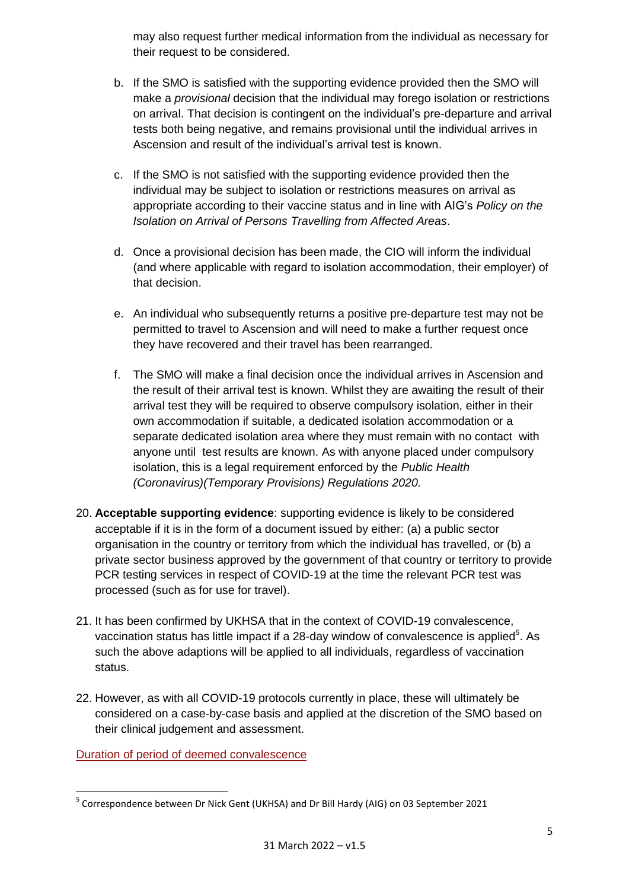may also request further medical information from the individual as necessary for their request to be considered.

- b. If the SMO is satisfied with the supporting evidence provided then the SMO will make a *provisional* decision that the individual may forego isolation or restrictions on arrival. That decision is contingent on the individual's pre-departure and arrival tests both being negative, and remains provisional until the individual arrives in Ascension and result of the individual's arrival test is known.
- c. If the SMO is not satisfied with the supporting evidence provided then the individual may be subject to isolation or restrictions measures on arrival as appropriate according to their vaccine status and in line with AIG's *Policy on the Isolation on Arrival of Persons Travelling from Affected Areas*.
- d. Once a provisional decision has been made, the CIO will inform the individual (and where applicable with regard to isolation accommodation, their employer) of that decision.
- e. An individual who subsequently returns a positive pre-departure test may not be permitted to travel to Ascension and will need to make a further request once they have recovered and their travel has been rearranged.
- f. The SMO will make a final decision once the individual arrives in Ascension and the result of their arrival test is known. Whilst they are awaiting the result of their arrival test they will be required to observe compulsory isolation, either in their own accommodation if suitable, a dedicated isolation accommodation or a separate dedicated isolation area where they must remain with no contact with anyone until test results are known. As with anyone placed under compulsory isolation, this is a legal requirement enforced by the *Public Health (Coronavirus)(Temporary Provisions) Regulations 2020.*
- 20. **Acceptable supporting evidence**: supporting evidence is likely to be considered acceptable if it is in the form of a document issued by either: (a) a public sector organisation in the country or territory from which the individual has travelled, or (b) a private sector business approved by the government of that country or territory to provide PCR testing services in respect of COVID-19 at the time the relevant PCR test was processed (such as for use for travel).
- 21. It has been confirmed by UKHSA that in the context of COVID-19 convalescence, vaccination status has little impact if a 28-day window of convalescence is applied $5$ . As such the above adaptions will be applied to all individuals, regardless of vaccination status.
- 22. However, as with all COVID-19 protocols currently in place, these will ultimately be considered on a case-by-case basis and applied at the discretion of the SMO based on their clinical judgement and assessment.

Duration of period of deemed convalescence

**<sup>.</sup>** <sup>5</sup> Correspondence between Dr Nick Gent (UKHSA) and Dr Bill Hardy (AIG) on 03 September 2021